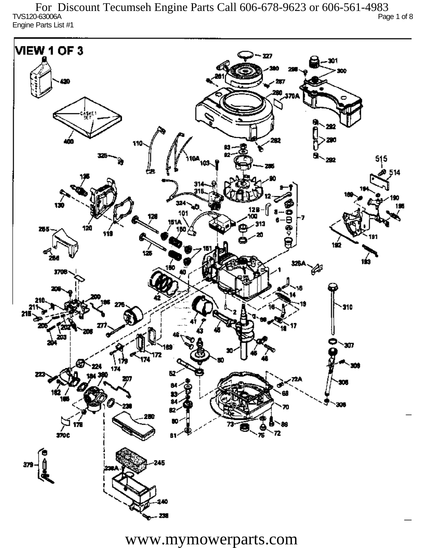TVS120-63006A Page 1 of 8 Engine Parts List #1 For Discount Tecumseh Engine Parts Call 606-678-9623 or 606-561-4983

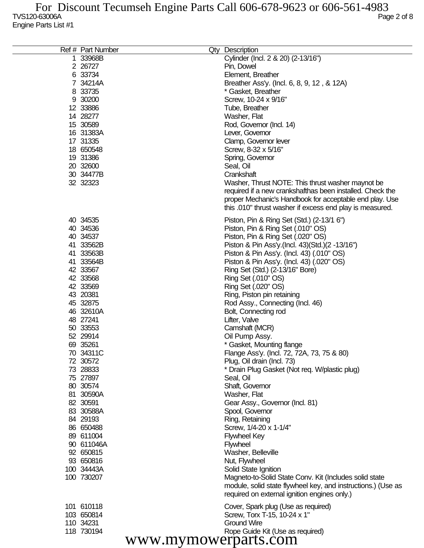| Ref # Part Number    | Qty Description                                              |
|----------------------|--------------------------------------------------------------|
| 1 33968B             | Cylinder (Incl. 2 & 20) (2-13/16")                           |
| 2 26727              | Pin, Dowel                                                   |
| 6 33734              | Element, Breather                                            |
| 7 34214A             | Breather Ass'y. (Incl. 6, 8, 9, 12, & 12A)                   |
| 8 33735              | * Gasket, Breather                                           |
| 9 30200              | Screw, 10-24 x 9/16"                                         |
| 12 33886             | Tube, Breather                                               |
| 14 28277             |                                                              |
|                      | Washer, Flat                                                 |
| 15 30589             | Rod, Governor (Incl. 14)                                     |
| 16 31383A            | Lever, Governor                                              |
| 17 31335             | Clamp, Governor lever                                        |
| 18 650548            | Screw, 8-32 x 5/16"                                          |
| 19 31386             | Spring, Governor                                             |
| 20 32600             | Seal, Oil                                                    |
| 30 34477B            | Crankshaft                                                   |
| 32 32323             | Washer, Thrust NOTE: This thrust washer maynot be            |
|                      | required if a new crankshafthas been installed. Check the    |
|                      | proper Mechanic's Handbook for acceptable end play. Use      |
|                      | this .010" thrust washer if excess end play is measured.     |
| 40 34535             | Piston, Pin & Ring Set (Std.) (2-13/1 6")                    |
| 40 34536             | Piston, Pin & Ring Set (.010" OS)                            |
| 40 34537             | Piston, Pin & Ring Set (.020" OS)                            |
| 41 33562B            | Piston & Pin Ass'y (Incl. 43) (Std.) (2 -13/16")             |
| 41 33563B            | Piston & Pin Ass'y. (Incl. 43) (.010" OS)                    |
| 41 33564B            | Piston & Pin Ass'y. (Incl. 43) (.020" OS)                    |
| 42 33567             | Ring Set (Std.) (2-13/16" Bore)                              |
| 42 33568             | Ring Set (.010" OS)                                          |
| 42 33569             |                                                              |
| 43 20381             | Ring Set (.020" OS)                                          |
|                      | Ring, Piston pin retaining                                   |
| 45 32875             | Rod Assy., Connecting (Incl. 46)                             |
| 46 32610A            | Bolt, Connecting rod                                         |
| 48 27241             | Lifter, Valve                                                |
| 50 33553             | Camshaft (MCR)                                               |
| 52 29914             | Oil Pump Assy.                                               |
| 69 35261             | * Gasket, Mounting flange                                    |
| 70 34311C            | Flange Ass'y. (Incl. 72, 72A, 73, 75 & 80)                   |
| 72 30572             | Plug, Oil drain (Incl. 73)                                   |
| 73 28833             | * Drain Plug Gasket (Not req. W/plastic plug)                |
| 75 27897             | Seal, Oil                                                    |
| 80 30574             | Shaft, Governor                                              |
| 81 30590A            | Washer, Flat                                                 |
| 82 30591             | Gear Assy., Governor (Incl. 81)                              |
| 83 30588A            | Spool, Governor                                              |
| 84 29193             | Ring, Retaining                                              |
| 86 650488            | Screw, 1/4-20 x 1-1/4"                                       |
| 89 611004            | <b>Flywheel Key</b>                                          |
| 90 611046A           | <b>Flywheel</b>                                              |
| 92 650815            | Washer, Belleville                                           |
| 93 650816            | Nut, Flywheel                                                |
| 100 34443A           | Solid State Ignition                                         |
| 100 730207           | Magneto-to-Solid State Conv. Kit (Includes solid state       |
|                      | module, solid state flywheel key, and instructions.) (Use as |
|                      | required on external ignition engines only.)                 |
| 101 610118           | Cover, Spark plug (Use as required)                          |
| 103 650814           | Screw, Torx T-15, 10-24 x 1"                                 |
| 110 34231            | <b>Ground Wire</b>                                           |
| 118 730194           | Rope Guide Kit (Use as required)                             |
| www.mymowerparts.com |                                                              |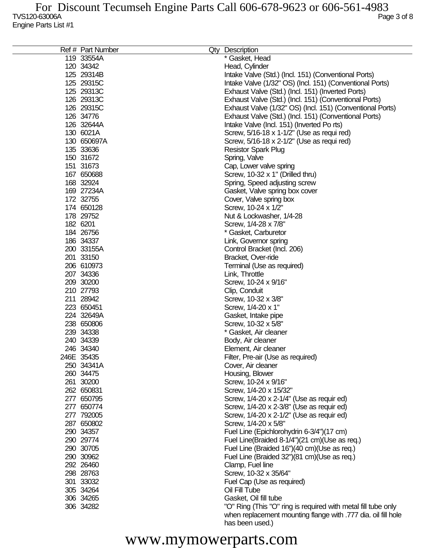| Ref # Part Number | Qty Description                                               |
|-------------------|---------------------------------------------------------------|
| 119 33554A        | * Gasket, Head                                                |
| 120 34342         | Head, Cylinder                                                |
| 125 29314B        | Intake Valve (Std.) (Incl. 151) (Conventional Ports)          |
| 125 29315C        | Intake Valve (1/32" OS) (Incl. 151) (Conventional Ports)      |
| 125 29313C        | Exhaust Valve (Std.) (Incl. 151) (Inverted Ports)             |
| 126 29313C        | Exhaust Valve (Std.) (Incl. 151) (Conventional Ports)         |
| 126 29315C        | Exhaust Valve (1/32" OS) (Incl. 151) (Conventional Ports)     |
|                   |                                                               |
| 126 34776         | Exhaust Valve (Std.) (Incl. 151) (Conventional Ports)         |
| 126 32644A        | Intake Valve (Incl. 151) (Inverted Po rts)                    |
| 130 6021A         | Screw, 5/16-18 x 1-1/2" (Use as requi red)                    |
| 130 650697A       | Screw, 5/16-18 x 2-1/2" (Use as requi red)                    |
| 135 33636         | <b>Resistor Spark Plug</b>                                    |
| 150 31672         | Spring, Valve                                                 |
| 151 31673         | Cap, Lower valve spring                                       |
| 167 650688        | Screw, 10-32 x 1" (Drilled thru)                              |
| 168 32924         | Spring, Speed adjusting screw                                 |
| 169 27234A        | Gasket, Valve spring box cover                                |
| 172 32755         | Cover, Valve spring box                                       |
| 174 650128        | Screw, 10-24 x 1/2"                                           |
| 178 29752         | Nut & Lockwasher, 1/4-28                                      |
| 182 6201          | Screw, 1/4-28 x 7/8"                                          |
| 184 26756         | * Gasket, Carburetor                                          |
| 186 34337         | Link, Governor spring                                         |
| 200 33155A        |                                                               |
|                   | Control Bracket (Incl. 206)                                   |
| 201 33150         | Bracket, Over-ride                                            |
| 206 610973        | Terminal (Use as required)                                    |
| 207 34336         | Link, Throttle                                                |
| 209 30200         | Screw, 10-24 x 9/16"                                          |
| 210 27793         | Clip, Conduit                                                 |
| 211 28942         | Screw, 10-32 x 3/8"                                           |
| 223 650451        | Screw, 1/4-20 x 1"                                            |
| 224 32649A        | Gasket, Intake pipe                                           |
| 238 650806        | Screw, 10-32 x 5/8"                                           |
| 239 34338         | * Gasket, Air cleaner                                         |
| 240 34339         | Body, Air cleaner                                             |
| 246 34340         | Element, Air cleaner                                          |
| 246E 35435        | Filter, Pre-air (Use as required)                             |
| 250 34341A        | Cover, Air cleaner                                            |
| 260 34475         | Housing, Blower                                               |
| 261 30200         | Screw, 10-24 x 9/16"                                          |
| 262 650831        | Screw, 1/4-20 x 15/32"                                        |
| 277 650795        | Screw, 1/4-20 x 2-1/4" (Use as requir ed)                     |
| 277 650774        | Screw, 1/4-20 x 2-3/8" (Use as requir ed)                     |
| 277 792005        | Screw, 1/4-20 x 2-1/2" (Use as requir ed)                     |
| 287 650802        | Screw, 1/4-20 x 5/8"                                          |
| 290 34357         | Fuel Line (Epichlorohydrin 6-3/4")(17 cm)                     |
| 290 29774         | Fuel Line(Braided 8-1/4")(21 cm)(Use as req.)                 |
| 290 30705         |                                                               |
|                   | Fuel Line (Braided 16")(40 cm)(Use as req.)                   |
| 290 30962         | Fuel Line (Braided 32")(81 cm)(Use as req.)                   |
| 292 26460         | Clamp, Fuel line                                              |
| 298 28763         | Screw, 10-32 x 35/64"                                         |
| 301 33032         | Fuel Cap (Use as required)                                    |
| 305 34264         | Oil Fill Tube                                                 |
| 306 34265         | Gasket, Oil fill tube                                         |
| 306 34282         | "O" Ring (This "O" ring is required with metal fill tube only |
|                   | when replacement mounting flange with .777 dia. oil fill hole |
|                   | has been used.)                                               |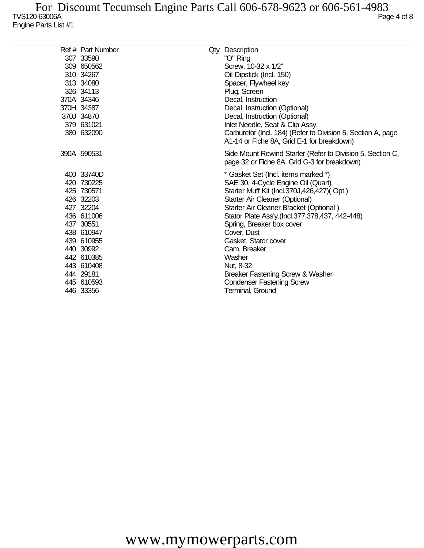| Ref # Part Number | Qty Description                                                                                            |
|-------------------|------------------------------------------------------------------------------------------------------------|
| 307 33590         | "O" Ring                                                                                                   |
| 309 650562        | Screw, 10-32 x 1/2"                                                                                        |
| 310 34267         | Oil Dipstick (Incl. 150)                                                                                   |
| 313 34080         | Spacer, Flywheel key                                                                                       |
| 326 34113         | Plug, Screen                                                                                               |
| 370A 34346        | Decal, Instruction                                                                                         |
| 370H 34387        | Decal, Instruction (Optional)                                                                              |
| 370J 34870        | Decal, Instruction (Optional)                                                                              |
| 379 631021        | Inlet Needle, Seat & Clip Assy.                                                                            |
| 380 632090        | Carburetor (Incl. 184) (Refer to Division 5, Section A, page<br>A1-14 or Fiche 8A, Grid E-1 for breakdown) |
|                   |                                                                                                            |
| 390A 590531       | Side Mount Rewind Starter (Refer to Division 5, Section C,                                                 |
|                   | page 32 or Fiche 8A, Grid G-3 for breakdown)                                                               |
| 400 33740D        | * Gasket Set (Incl. items marked *)                                                                        |
| 420 730225        | SAE 30, 4-Cycle Engine Oil (Quart)                                                                         |
| 425 730571        | Starter Muff Kit (Incl.370J,426,427)(Opt.)                                                                 |
| 426 32203         | Starter Air Cleaner (Optional)                                                                             |
| 427 32204         | Starter Air Cleaner Bracket (Optional)                                                                     |
| 436 611006        | Stator Plate Ass'y.(Incl.377,378,437, 442-448)                                                             |
| 437 30551         | Spring, Breaker box cover                                                                                  |
| 438 610947        | Cover, Dust                                                                                                |
| 439 610955        | Gasket, Stator cover                                                                                       |
| 440 30992         | Cam, Breaker                                                                                               |
| 442 610385        | Washer                                                                                                     |
| 443 610408        | Nut, 8-32                                                                                                  |
| 444 29181         | Breaker Fastening Screw & Washer                                                                           |
| 445 610593        | <b>Condenser Fastening Screw</b>                                                                           |
| 446 33356         | Terminal, Ground                                                                                           |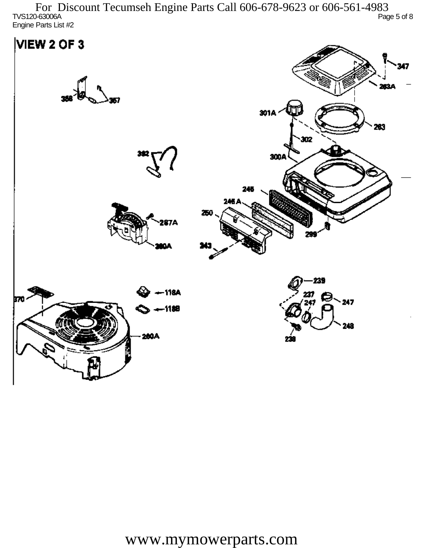TVS120-63006A Page 5 of 8 Engine Parts List #2 For Discount Tecumseh Engine Parts Call 606-678-9623 or 606-561-4983

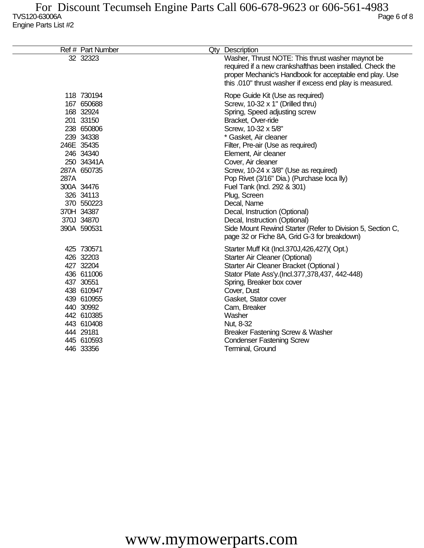|      | Ref # Part Number                                                                                                                                                                                                         | Qty Description                                                                                                                                                                                                                                                                                                                                                                                                                                                                                                                                                                                     |
|------|---------------------------------------------------------------------------------------------------------------------------------------------------------------------------------------------------------------------------|-----------------------------------------------------------------------------------------------------------------------------------------------------------------------------------------------------------------------------------------------------------------------------------------------------------------------------------------------------------------------------------------------------------------------------------------------------------------------------------------------------------------------------------------------------------------------------------------------------|
|      | 32 32323                                                                                                                                                                                                                  | Washer, Thrust NOTE: This thrust washer maynot be<br>required if a new crankshafthas been installed. Check the<br>proper Mechanic's Handbook for acceptable end play. Use<br>this .010" thrust washer if excess end play is measured.                                                                                                                                                                                                                                                                                                                                                               |
| 287A | 118 730194<br>167 650688<br>168 32924<br>201 33150<br>238 650806<br>239 34338<br>246E 35435<br>246 34340<br>250 34341A<br>287A 650735<br>300A 34476<br>326 34113<br>370 550223<br>370H 34387<br>370J 34870<br>390A 590531 | Rope Guide Kit (Use as required)<br>Screw, 10-32 x 1" (Drilled thru)<br>Spring, Speed adjusting screw<br>Bracket, Over-ride<br>Screw, 10-32 x 5/8"<br>* Gasket, Air cleaner<br>Filter, Pre-air (Use as required)<br>Element, Air cleaner<br>Cover, Air cleaner<br>Screw, 10-24 x 3/8" (Use as required)<br>Pop Rivet (3/16" Dia.) (Purchase loca lly)<br>Fuel Tank (Incl. 292 & 301)<br>Plug, Screen<br>Decal, Name<br>Decal, Instruction (Optional)<br>Decal, Instruction (Optional)<br>Side Mount Rewind Starter (Refer to Division 5, Section C,<br>page 32 or Fiche 8A, Grid G-3 for breakdown) |
|      | 425 730571<br>426 32203<br>427 32204<br>436 611006<br>437 30551<br>438 610947<br>439 610955<br>440 30992<br>442 610385<br>443 610408<br>444 29181<br>445 610593<br>446 33356                                              | Starter Muff Kit (Incl.370J,426,427)(Opt.)<br>Starter Air Cleaner (Optional)<br>Starter Air Cleaner Bracket (Optional)<br>Stator Plate Ass'y.(Incl.377,378,437, 442-448)<br>Spring, Breaker box cover<br>Cover, Dust<br>Gasket, Stator cover<br>Cam, Breaker<br>Washer<br>Nut, 8-32<br>Breaker Fastening Screw & Washer<br><b>Condenser Fastening Screw</b><br>Terminal, Ground                                                                                                                                                                                                                     |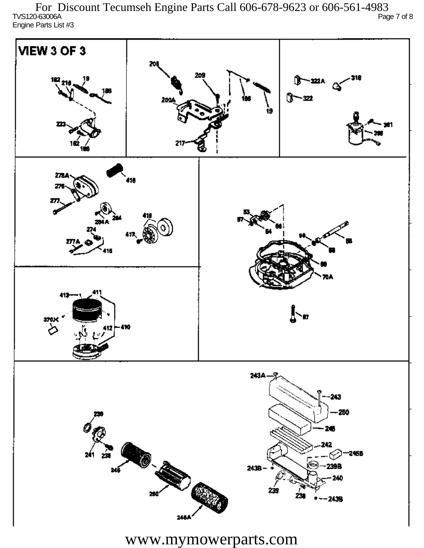TVS120-63006A Page 7 of 8 Engine Parts List #3 For Discount Tecumseh Engine Parts Call 606-678-9623 or 606-561-4983